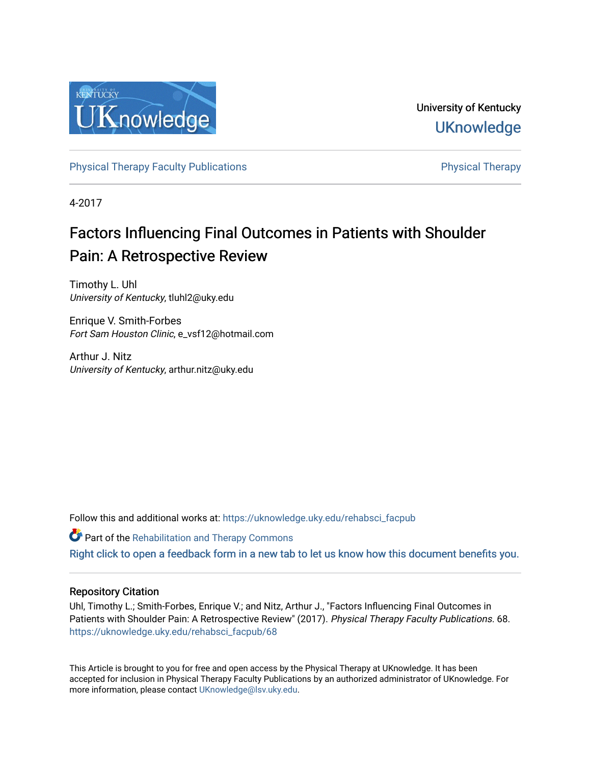

University of Kentucky **UKnowledge** 

[Physical Therapy Faculty Publications](https://uknowledge.uky.edu/rehabsci_facpub) **Physical Therapy** Physical Therapy

4-2017

# Factors Influencing Final Outcomes in Patients with Shoulder Pain: A Retrospective Review

Timothy L. Uhl University of Kentucky, tluhl2@uky.edu

Enrique V. Smith-Forbes Fort Sam Houston Clinic, e\_vsf12@hotmail.com

Arthur J. Nitz University of Kentucky, arthur.nitz@uky.edu

Follow this and additional works at: [https://uknowledge.uky.edu/rehabsci\\_facpub](https://uknowledge.uky.edu/rehabsci_facpub?utm_source=uknowledge.uky.edu%2Frehabsci_facpub%2F68&utm_medium=PDF&utm_campaign=PDFCoverPages) 

**Part of the Rehabilitation and Therapy Commons** 

[Right click to open a feedback form in a new tab to let us know how this document benefits you.](https://uky.az1.qualtrics.com/jfe/form/SV_9mq8fx2GnONRfz7)

#### Repository Citation

Uhl, Timothy L.; Smith-Forbes, Enrique V.; and Nitz, Arthur J., "Factors Influencing Final Outcomes in Patients with Shoulder Pain: A Retrospective Review" (2017). Physical Therapy Faculty Publications. 68. [https://uknowledge.uky.edu/rehabsci\\_facpub/68](https://uknowledge.uky.edu/rehabsci_facpub/68?utm_source=uknowledge.uky.edu%2Frehabsci_facpub%2F68&utm_medium=PDF&utm_campaign=PDFCoverPages)

This Article is brought to you for free and open access by the Physical Therapy at UKnowledge. It has been accepted for inclusion in Physical Therapy Faculty Publications by an authorized administrator of UKnowledge. For more information, please contact [UKnowledge@lsv.uky.edu](mailto:UKnowledge@lsv.uky.edu).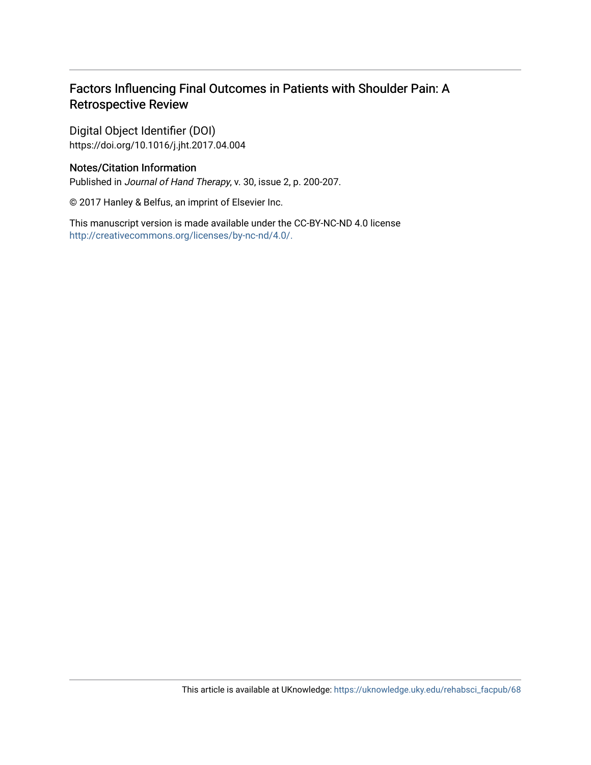# Factors Influencing Final Outcomes in Patients with Shoulder Pain: A Retrospective Review

Digital Object Identifier (DOI) https://doi.org/10.1016/j.jht.2017.04.004

## Notes/Citation Information

Published in Journal of Hand Therapy, v. 30, issue 2, p. 200-207.

© 2017 Hanley & Belfus, an imprint of Elsevier Inc.

This manuscript version is made available under the CC-BY-NC-ND 4.0 license [http://creativecommons.org/licenses/by-nc-nd/4.0/.](http://creativecommons.org/licenses/by-nc-nd/4.0/)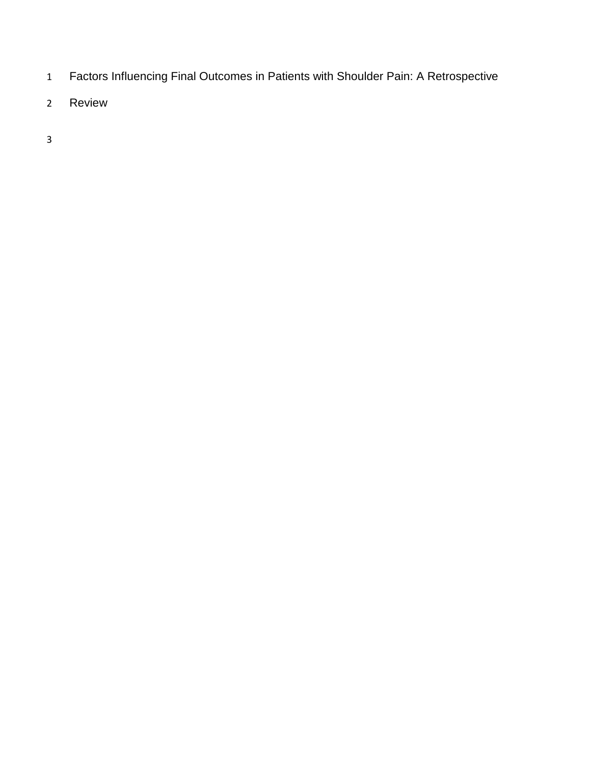- Factors Influencing Final Outcomes in Patients with Shoulder Pain: A Retrospective
- Review
-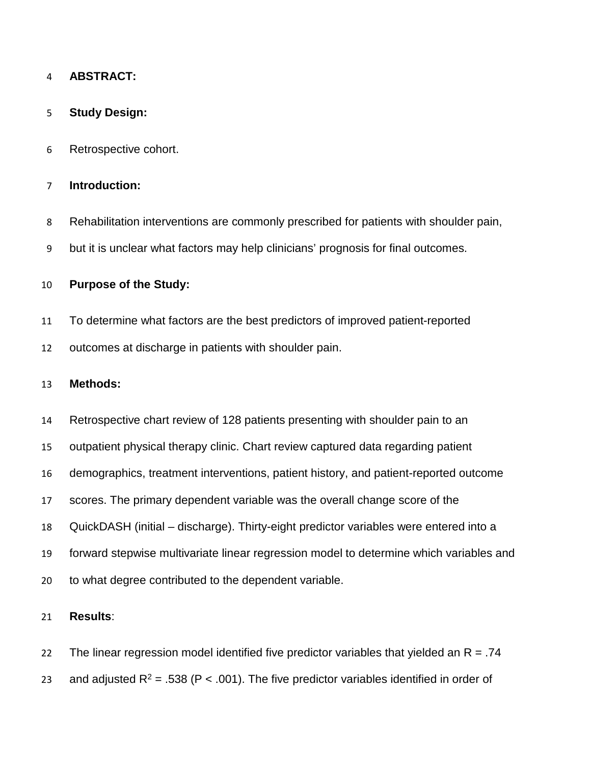## **ABSTRACT:**

## **Study Design:**

Retrospective cohort.

## **Introduction:**

- Rehabilitation interventions are commonly prescribed for patients with shoulder pain,
- but it is unclear what factors may help clinicians' prognosis for final outcomes.

## **Purpose of the Study:**

- To determine what factors are the best predictors of improved patient-reported
- outcomes at discharge in patients with shoulder pain.

#### **Methods:**

Retrospective chart review of 128 patients presenting with shoulder pain to an

- outpatient physical therapy clinic. Chart review captured data regarding patient
- demographics, treatment interventions, patient history, and patient-reported outcome
- scores. The primary dependent variable was the overall change score of the
- QuickDASH (initial discharge). Thirty-eight predictor variables were entered into a
- forward stepwise multivariate linear regression model to determine which variables and
- to what degree contributed to the dependent variable.

## **Results**:

22 The linear regression model identified five predictor variables that yielded an  $R = .74$ 23 and adjusted  $R^2 = .538$  (P < .001). The five predictor variables identified in order of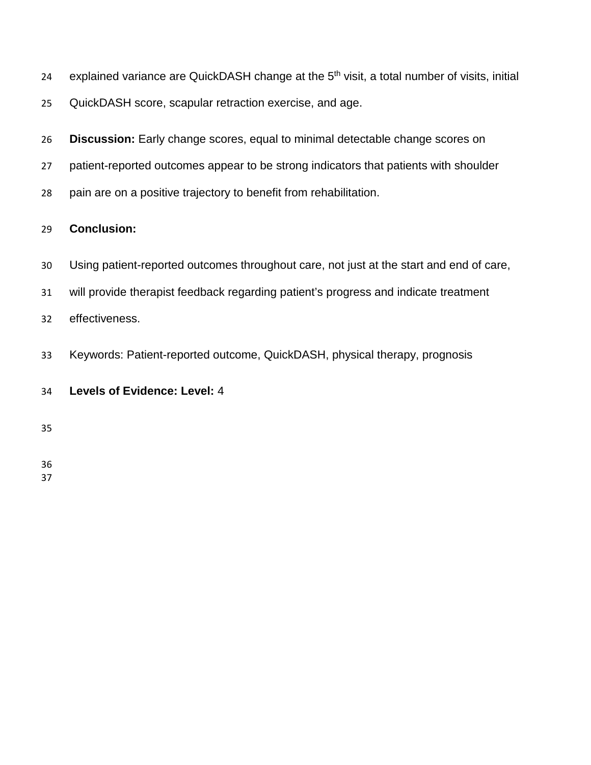- 24 explained variance are QuickDASH change at the 5<sup>th</sup> visit, a total number of visits, initial
- QuickDASH score, scapular retraction exercise, and age.
- **Discussion:** Early change scores, equal to minimal detectable change scores on
- patient-reported outcomes appear to be strong indicators that patients with shoulder
- pain are on a positive trajectory to benefit from rehabilitation.

## **Conclusion:**

- Using patient-reported outcomes throughout care, not just at the start and end of care,
- will provide therapist feedback regarding patient's progress and indicate treatment
- effectiveness.
- Keywords: Patient-reported outcome, QuickDASH, physical therapy, prognosis

## **Levels of Evidence: Level:** 4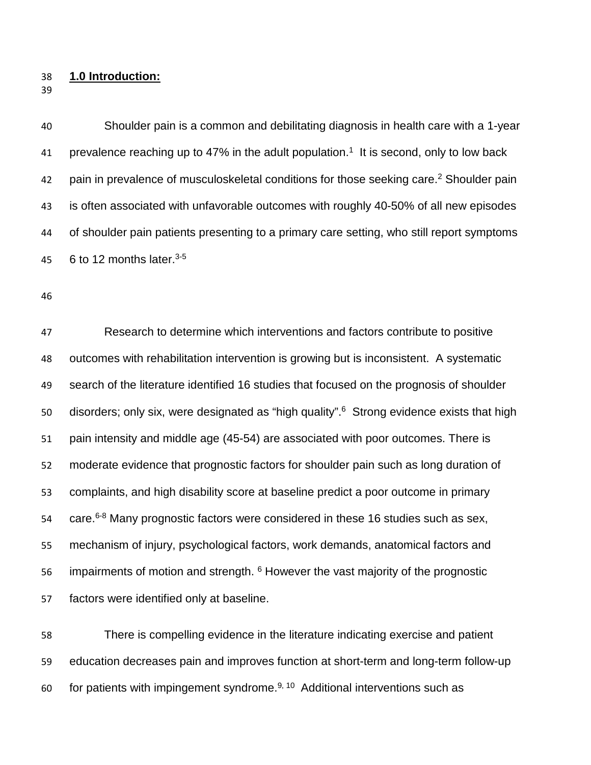- **1.0 Introduction:**
- 

 Shoulder pain is a common and debilitating diagnosis in health care with a 1-year 41 prevalence reaching up to 47% in the adult population.<sup>1</sup> It is second, only to low back 42 pain in prevalence of musculoskeletal conditions for those seeking care.<sup>2</sup> Shoulder pain is often associated with unfavorable outcomes with roughly 40-50% of all new episodes of shoulder pain patients presenting to a primary care setting, who still report symptoms 45 6 to 12 months later. $3-5$ 

 Research to determine which interventions and factors contribute to positive outcomes with rehabilitation intervention is growing but is inconsistent. A systematic search of the literature identified 16 studies that focused on the prognosis of shoulder 50 disorders; only six, were designated as "high quality".<sup>6</sup> Strong evidence exists that high pain intensity and middle age (45-54) are associated with poor outcomes. There is moderate evidence that prognostic factors for shoulder pain such as long duration of complaints, and high disability score at baseline predict a poor outcome in primary 54 care. 6-8 Many prognostic factors were considered in these 16 studies such as sex, mechanism of injury, psychological factors, work demands, anatomical factors and 56 impairments of motion and strength. However the vast majority of the prognostic factors were identified only at baseline.

 There is compelling evidence in the literature indicating exercise and patient education decreases pain and improves function at short-term and long-term follow-up 60 for patients with impingement syndrome.<sup>9, 10</sup> Additional interventions such as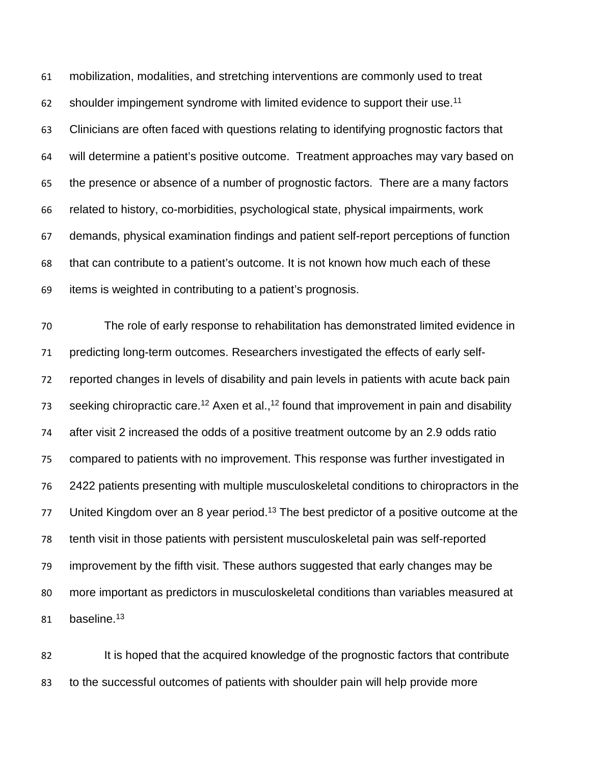mobilization, modalities, and stretching interventions are commonly used to treat shoulder impingement syndrome with limited evidence to support their use.<sup>11</sup> Clinicians are often faced with questions relating to identifying prognostic factors that will determine a patient's positive outcome. Treatment approaches may vary based on the presence or absence of a number of prognostic factors. There are a many factors related to history, co-morbidities, psychological state, physical impairments, work demands, physical examination findings and patient self-report perceptions of function that can contribute to a patient's outcome. It is not known how much each of these items is weighted in contributing to a patient's prognosis.

 The role of early response to rehabilitation has demonstrated limited evidence in predicting long-term outcomes. Researchers investigated the effects of early self- reported changes in levels of disability and pain levels in patients with acute back pain seeking chiropractic care.<sup>12</sup> Axen et al.,<sup>12</sup> found that improvement in pain and disability after visit 2 increased the odds of a positive treatment outcome by an 2.9 odds ratio compared to patients with no improvement. This response was further investigated in 2422 patients presenting with multiple musculoskeletal conditions to chiropractors in the 77 United Kingdom over an 8 year period.<sup>13</sup> The best predictor of a positive outcome at the tenth visit in those patients with persistent musculoskeletal pain was self-reported improvement by the fifth visit. These authors suggested that early changes may be more important as predictors in musculoskeletal conditions than variables measured at 81 baseline.<sup>13</sup>

82 It is hoped that the acquired knowledge of the prognostic factors that contribute to the successful outcomes of patients with shoulder pain will help provide more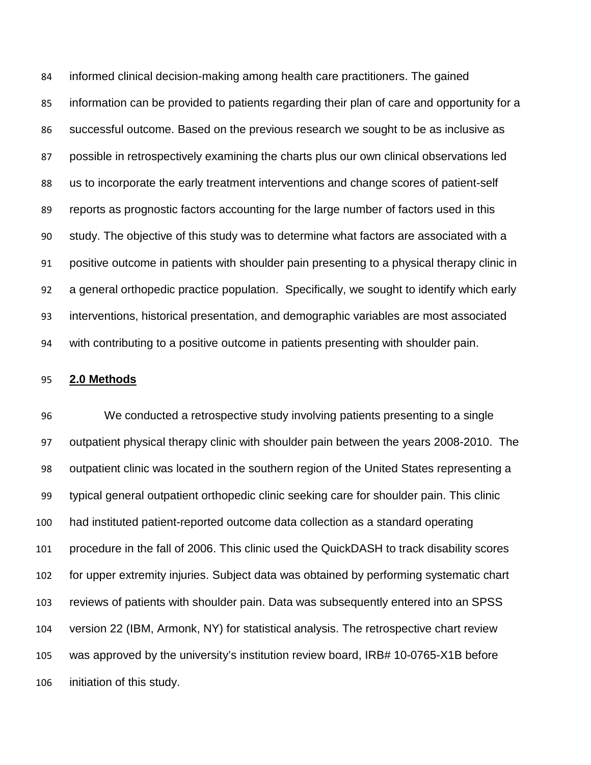informed clinical decision-making among health care practitioners. The gained information can be provided to patients regarding their plan of care and opportunity for a successful outcome. Based on the previous research we sought to be as inclusive as possible in retrospectively examining the charts plus our own clinical observations led us to incorporate the early treatment interventions and change scores of patient-self reports as prognostic factors accounting for the large number of factors used in this study. The objective of this study was to determine what factors are associated with a positive outcome in patients with shoulder pain presenting to a physical therapy clinic in a general orthopedic practice population. Specifically, we sought to identify which early interventions, historical presentation, and demographic variables are most associated with contributing to a positive outcome in patients presenting with shoulder pain.

#### **2.0 Methods**

 We conducted a retrospective study involving patients presenting to a single outpatient physical therapy clinic with shoulder pain between the years 2008-2010. The outpatient clinic was located in the southern region of the United States representing a typical general outpatient orthopedic clinic seeking care for shoulder pain. This clinic had instituted patient-reported outcome data collection as a standard operating procedure in the fall of 2006. This clinic used the QuickDASH to track disability scores for upper extremity injuries. Subject data was obtained by performing systematic chart reviews of patients with shoulder pain. Data was subsequently entered into an SPSS version 22 (IBM, Armonk, NY) for statistical analysis. The retrospective chart review was approved by the university's institution review board, IRB# 10-0765-X1B before initiation of this study.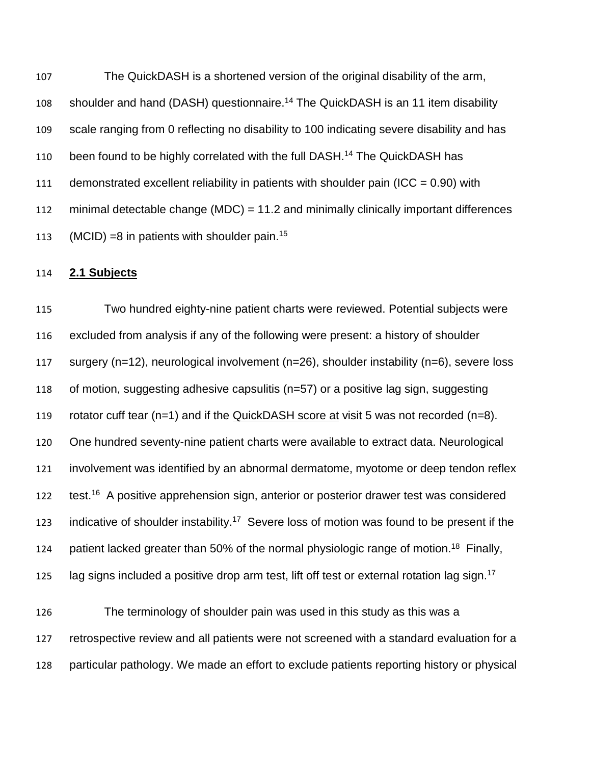The QuickDASH is a shortened version of the original disability of the arm, 108 shoulder and hand (DASH) questionnaire.<sup>14</sup> The QuickDASH is an 11 item disability scale ranging from 0 reflecting no disability to 100 indicating severe disability and has 110 been found to be highly correlated with the full DASH.<sup>14</sup> The QuickDASH has 111 demonstrated excellent reliability in patients with shoulder pain (ICC =  $0.90$ ) with minimal detectable change (MDC) = 11.2 and minimally clinically important differences 113 (MCID) =8 in patients with shoulder pain.<sup>15</sup>

## **2.1 Subjects**

 Two hundred eighty-nine patient charts were reviewed. Potential subjects were excluded from analysis if any of the following were present: a history of shoulder surgery (n=12), neurological involvement (n=26), shoulder instability (n=6), severe loss of motion, suggesting adhesive capsulitis (n=57) or a positive lag sign, suggesting rotator cuff tear (n=1) and if the QuickDASH score at visit 5 was not recorded (n=8). One hundred seventy-nine patient charts were available to extract data. Neurological involvement was identified by an abnormal dermatome, myotome or deep tendon reflex 122 test.<sup>16</sup> A positive apprehension sign, anterior or posterior drawer test was considered 123 indicative of shoulder instability.<sup>17</sup> Severe loss of motion was found to be present if the 124 patient lacked greater than 50% of the normal physiologic range of motion.<sup>18</sup> Finally, 125 lag signs included a positive drop arm test, lift off test or external rotation lag sign.<sup>17</sup>

 The terminology of shoulder pain was used in this study as this was a retrospective review and all patients were not screened with a standard evaluation for a particular pathology. We made an effort to exclude patients reporting history or physical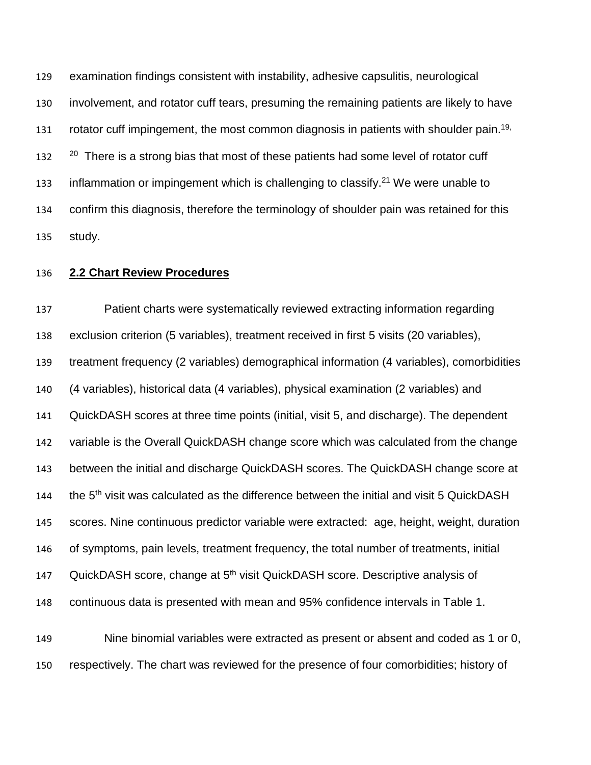examination findings consistent with instability, adhesive capsulitis, neurological involvement, and rotator cuff tears, presuming the remaining patients are likely to have 131 rotator cuff impingement, the most common diagnosis in patients with shoulder pain.<sup>19,</sup>  $22<sup>20</sup>$  There is a strong bias that most of these patients had some level of rotator cuff 133 inflammation or impingement which is challenging to classify.<sup>21</sup> We were unable to confirm this diagnosis, therefore the terminology of shoulder pain was retained for this study.

## **2.2 Chart Review Procedures**

 Patient charts were systematically reviewed extracting information regarding exclusion criterion (5 variables), treatment received in first 5 visits (20 variables), treatment frequency (2 variables) demographical information (4 variables), comorbidities (4 variables), historical data (4 variables), physical examination (2 variables) and QuickDASH scores at three time points (initial, visit 5, and discharge). The dependent variable is the Overall QuickDASH change score which was calculated from the change between the initial and discharge QuickDASH scores. The QuickDASH change score at 144 the  $5<sup>th</sup>$  visit was calculated as the difference between the initial and visit 5 QuickDASH scores. Nine continuous predictor variable were extracted: age, height, weight, duration of symptoms, pain levels, treatment frequency, the total number of treatments, initial 147 QuickDASH score, change at 5<sup>th</sup> visit QuickDASH score. Descriptive analysis of continuous data is presented with mean and 95% confidence intervals in Table 1. Nine binomial variables were extracted as present or absent and coded as 1 or 0,

respectively. The chart was reviewed for the presence of four comorbidities; history of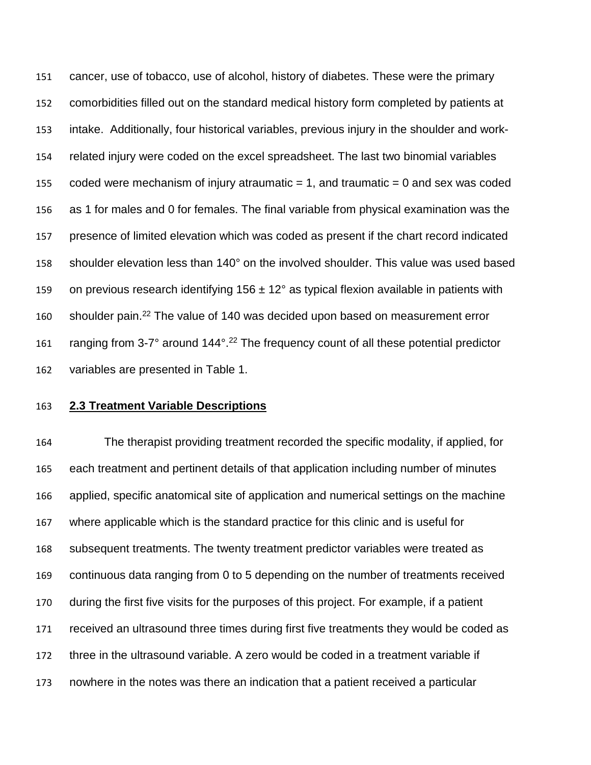cancer, use of tobacco, use of alcohol, history of diabetes. These were the primary comorbidities filled out on the standard medical history form completed by patients at intake. Additionally, four historical variables, previous injury in the shoulder and work- related injury were coded on the excel spreadsheet. The last two binomial variables 155 coded were mechanism of injury atraumatic  $= 1$ , and traumatic  $= 0$  and sex was coded as 1 for males and 0 for females. The final variable from physical examination was the presence of limited elevation which was coded as present if the chart record indicated shoulder elevation less than 140° on the involved shoulder. This value was used based 159 on previous research identifying  $156 \pm 12^{\circ}$  as typical flexion available in patients with 160 shoulder pain.<sup>22</sup> The value of 140 was decided upon based on measurement error 161 ranging from 3-7 $^{\circ}$  around 144 $^{\circ}$ .<sup>22</sup> The frequency count of all these potential predictor variables are presented in Table 1.

## **2.3 Treatment Variable Descriptions**

 The therapist providing treatment recorded the specific modality, if applied, for each treatment and pertinent details of that application including number of minutes applied, specific anatomical site of application and numerical settings on the machine where applicable which is the standard practice for this clinic and is useful for subsequent treatments. The twenty treatment predictor variables were treated as continuous data ranging from 0 to 5 depending on the number of treatments received during the first five visits for the purposes of this project. For example, if a patient received an ultrasound three times during first five treatments they would be coded as three in the ultrasound variable. A zero would be coded in a treatment variable if nowhere in the notes was there an indication that a patient received a particular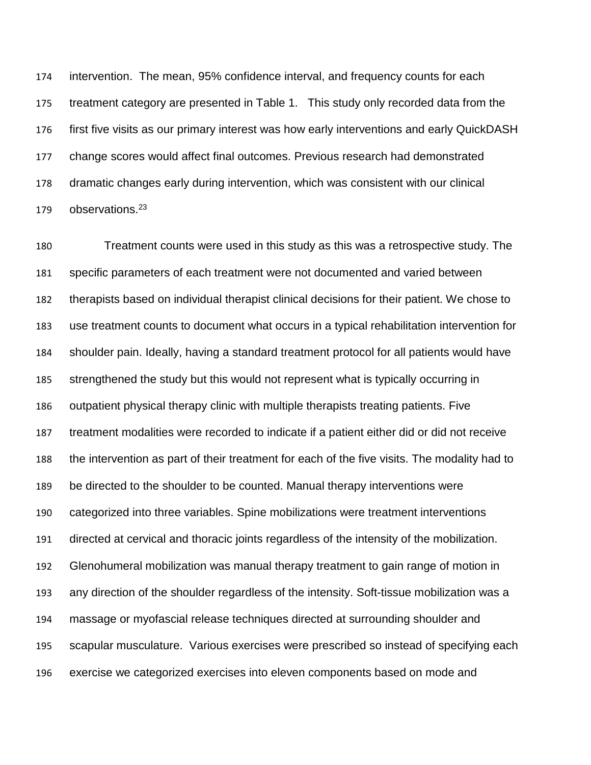intervention. The mean, 95% confidence interval, and frequency counts for each treatment category are presented in Table 1. This study only recorded data from the first five visits as our primary interest was how early interventions and early QuickDASH change scores would affect final outcomes. Previous research had demonstrated dramatic changes early during intervention, which was consistent with our clinical observations.<sup>23</sup>

 Treatment counts were used in this study as this was a retrospective study. The specific parameters of each treatment were not documented and varied between therapists based on individual therapist clinical decisions for their patient. We chose to use treatment counts to document what occurs in a typical rehabilitation intervention for shoulder pain. Ideally, having a standard treatment protocol for all patients would have strengthened the study but this would not represent what is typically occurring in outpatient physical therapy clinic with multiple therapists treating patients. Five treatment modalities were recorded to indicate if a patient either did or did not receive the intervention as part of their treatment for each of the five visits. The modality had to be directed to the shoulder to be counted. Manual therapy interventions were categorized into three variables. Spine mobilizations were treatment interventions directed at cervical and thoracic joints regardless of the intensity of the mobilization. Glenohumeral mobilization was manual therapy treatment to gain range of motion in any direction of the shoulder regardless of the intensity. Soft-tissue mobilization was a massage or myofascial release techniques directed at surrounding shoulder and scapular musculature. Various exercises were prescribed so instead of specifying each exercise we categorized exercises into eleven components based on mode and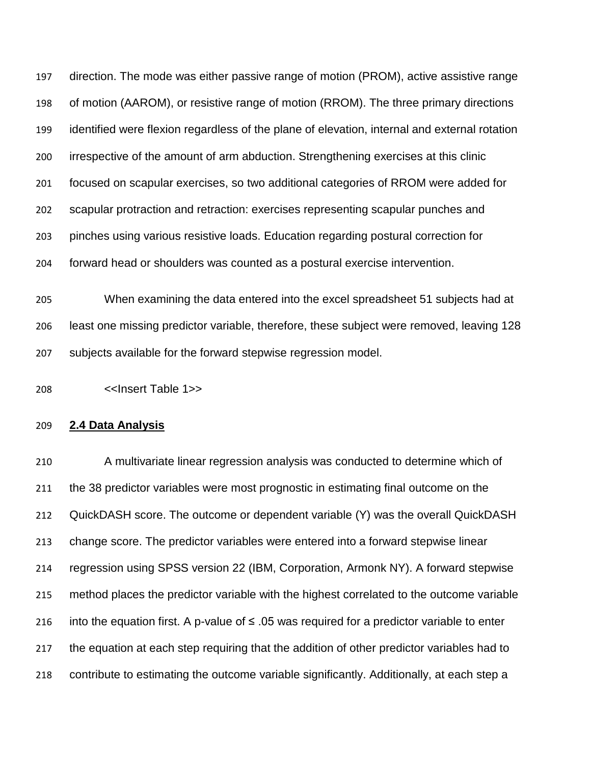direction. The mode was either passive range of motion (PROM), active assistive range of motion (AAROM), or resistive range of motion (RROM). The three primary directions identified were flexion regardless of the plane of elevation, internal and external rotation irrespective of the amount of arm abduction. Strengthening exercises at this clinic focused on scapular exercises, so two additional categories of RROM were added for scapular protraction and retraction: exercises representing scapular punches and pinches using various resistive loads. Education regarding postural correction for forward head or shoulders was counted as a postural exercise intervention.

 When examining the data entered into the excel spreadsheet 51 subjects had at least one missing predictor variable, therefore, these subject were removed, leaving 128 subjects available for the forward stepwise regression model.

<<Insert Table 1>>

## **2.4 Data Analysis**

 A multivariate linear regression analysis was conducted to determine which of the 38 predictor variables were most prognostic in estimating final outcome on the QuickDASH score. The outcome or dependent variable (Y) was the overall QuickDASH change score. The predictor variables were entered into a forward stepwise linear regression using SPSS version 22 (IBM, Corporation, Armonk NY). A forward stepwise method places the predictor variable with the highest correlated to the outcome variable 216 into the equation first. A p-value of  $\leq$  .05 was required for a predictor variable to enter the equation at each step requiring that the addition of other predictor variables had to contribute to estimating the outcome variable significantly. Additionally, at each step a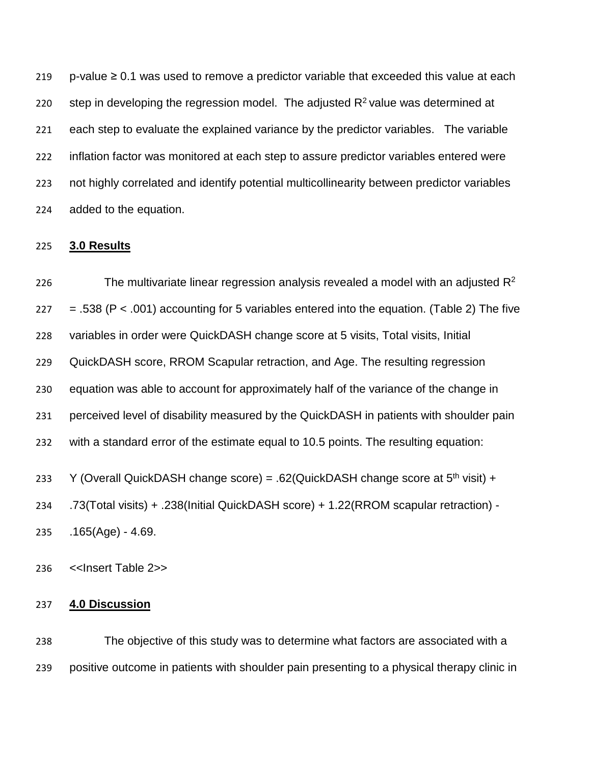219 p-value ≥ 0.1 was used to remove a predictor variable that exceeded this value at each 220 step in developing the regression model. The adjusted  $R<sup>2</sup>$  value was determined at each step to evaluate the explained variance by the predictor variables. The variable inflation factor was monitored at each step to assure predictor variables entered were not highly correlated and identify potential multicollinearity between predictor variables added to the equation.

#### **3.0 Results**

226 The multivariate linear regression analysis revealed a model with an adjusted  $\mathsf{R}^2$  $= .538$  (P  $< .001$ ) accounting for 5 variables entered into the equation. (Table 2) The five variables in order were QuickDASH change score at 5 visits, Total visits, Initial QuickDASH score, RROM Scapular retraction, and Age. The resulting regression equation was able to account for approximately half of the variance of the change in perceived level of disability measured by the QuickDASH in patients with shoulder pain with a standard error of the estimate equal to 10.5 points. The resulting equation: 233 Y (Overall QuickDASH change score) = .62(QuickDASH change score at  $5<sup>th</sup>$  visit) + .73(Total visits) + .238(Initial QuickDASH score) + 1.22(RROM scapular retraction) - .165(Age) - 4.69.

<<Insert Table 2>>

#### **4.0 Discussion**

 The objective of this study was to determine what factors are associated with a positive outcome in patients with shoulder pain presenting to a physical therapy clinic in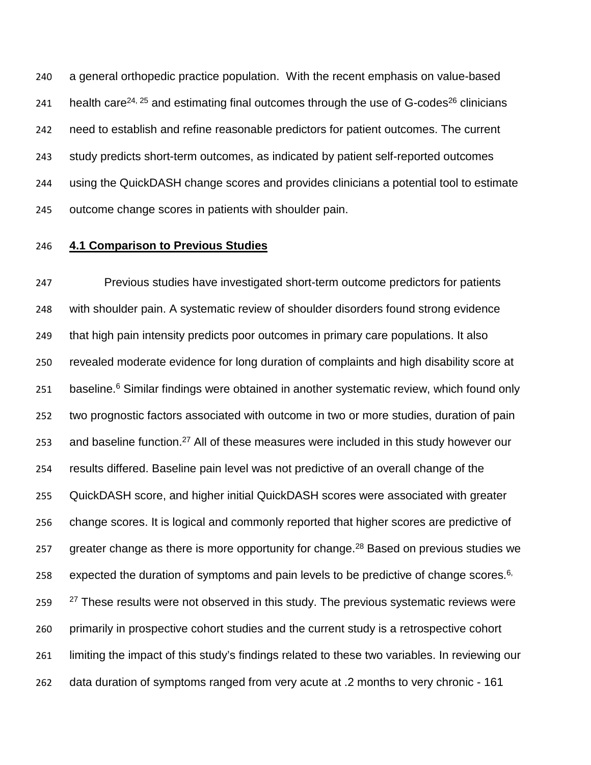a general orthopedic practice population. With the recent emphasis on value-based 241 health care<sup>24, 25</sup> and estimating final outcomes through the use of G-codes<sup>26</sup> clinicians need to establish and refine reasonable predictors for patient outcomes. The current study predicts short-term outcomes, as indicated by patient self-reported outcomes using the QuickDASH change scores and provides clinicians a potential tool to estimate outcome change scores in patients with shoulder pain.

## **4.1 Comparison to Previous Studies**

 Previous studies have investigated short-term outcome predictors for patients with shoulder pain. A systematic review of shoulder disorders found strong evidence that high pain intensity predicts poor outcomes in primary care populations. It also revealed moderate evidence for long duration of complaints and high disability score at 251 baseline. Similar findings were obtained in another systematic review, which found only two prognostic factors associated with outcome in two or more studies, duration of pain 253 and baseline function.<sup>27</sup> All of these measures were included in this study however our results differed. Baseline pain level was not predictive of an overall change of the QuickDASH score, and higher initial QuickDASH scores were associated with greater change scores. It is logical and commonly reported that higher scores are predictive of 257 greater change as there is more opportunity for change.<sup>28</sup> Based on previous studies we 258 expected the duration of symptoms and pain levels to be predictive of change scores.<sup>6,</sup>  $27$  These results were not observed in this study. The previous systematic reviews were primarily in prospective cohort studies and the current study is a retrospective cohort limiting the impact of this study's findings related to these two variables. In reviewing our data duration of symptoms ranged from very acute at .2 months to very chronic - 161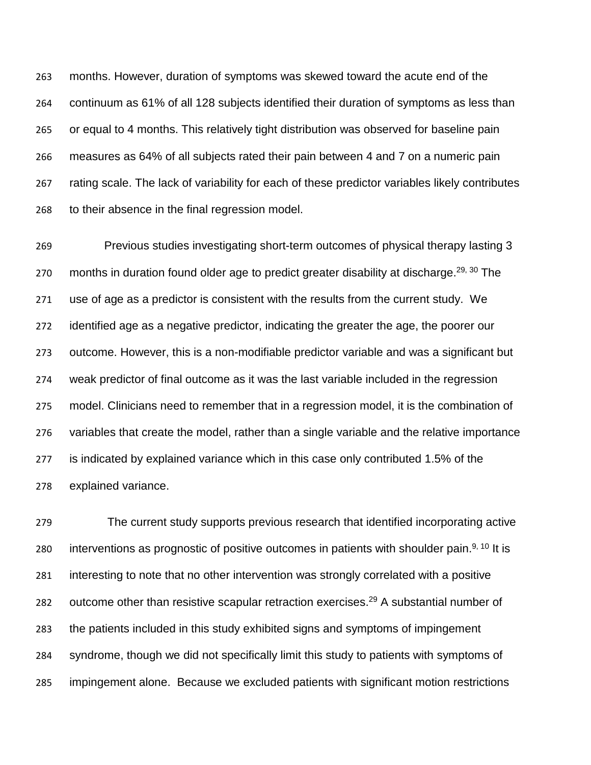months. However, duration of symptoms was skewed toward the acute end of the continuum as 61% of all 128 subjects identified their duration of symptoms as less than or equal to 4 months. This relatively tight distribution was observed for baseline pain measures as 64% of all subjects rated their pain between 4 and 7 on a numeric pain rating scale. The lack of variability for each of these predictor variables likely contributes to their absence in the final regression model.

 Previous studies investigating short-term outcomes of physical therapy lasting 3 270 months in duration found older age to predict greater disability at discharge.<sup>29, 30</sup> The use of age as a predictor is consistent with the results from the current study. We identified age as a negative predictor, indicating the greater the age, the poorer our outcome. However, this is a non-modifiable predictor variable and was a significant but weak predictor of final outcome as it was the last variable included in the regression model. Clinicians need to remember that in a regression model, it is the combination of variables that create the model, rather than a single variable and the relative importance is indicated by explained variance which in this case only contributed 1.5% of the explained variance.

 The current study supports previous research that identified incorporating active 280 interventions as prognostic of positive outcomes in patients with shoulder pain.<sup>9, 10</sup> It is interesting to note that no other intervention was strongly correlated with a positive 282 outcome other than resistive scapular retraction exercises.<sup>29</sup> A substantial number of the patients included in this study exhibited signs and symptoms of impingement syndrome, though we did not specifically limit this study to patients with symptoms of impingement alone. Because we excluded patients with significant motion restrictions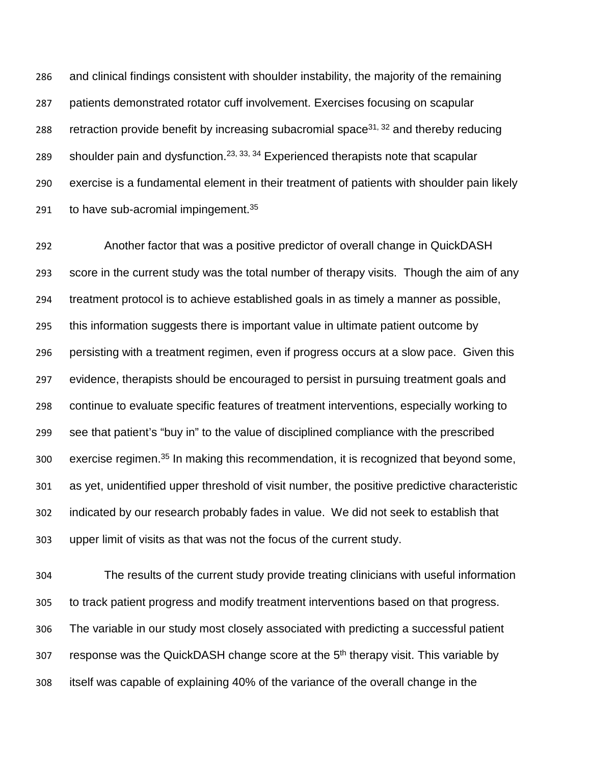and clinical findings consistent with shoulder instability, the majority of the remaining patients demonstrated rotator cuff involvement. Exercises focusing on scapular 288 retraction provide benefit by increasing subacromial space<sup>31, 32</sup> and thereby reducing 289 shoulder pain and dysfunction.  $23, 33, 34$  Experienced therapists note that scapular exercise is a fundamental element in their treatment of patients with shoulder pain likely 291 to have sub-acromial impingement.

 Another factor that was a positive predictor of overall change in QuickDASH score in the current study was the total number of therapy visits. Though the aim of any treatment protocol is to achieve established goals in as timely a manner as possible, this information suggests there is important value in ultimate patient outcome by persisting with a treatment regimen, even if progress occurs at a slow pace. Given this evidence, therapists should be encouraged to persist in pursuing treatment goals and continue to evaluate specific features of treatment interventions, especially working to see that patient's "buy in" to the value of disciplined compliance with the prescribed 300 exercise regimen.<sup>35</sup> In making this recommendation, it is recognized that beyond some, as yet, unidentified upper threshold of visit number, the positive predictive characteristic indicated by our research probably fades in value. We did not seek to establish that upper limit of visits as that was not the focus of the current study.

 The results of the current study provide treating clinicians with useful information to track patient progress and modify treatment interventions based on that progress. The variable in our study most closely associated with predicting a successful patient response was the QuickDASH change score at the  $5<sup>th</sup>$  therapy visit. This variable by itself was capable of explaining 40% of the variance of the overall change in the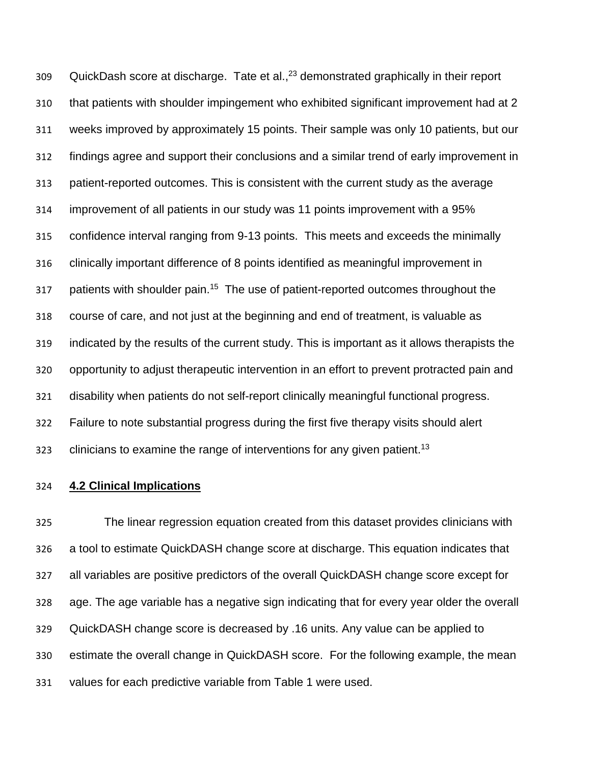309 QuickDash score at discharge. Tate et al., $^{23}$  demonstrated graphically in their report that patients with shoulder impingement who exhibited significant improvement had at 2 weeks improved by approximately 15 points. Their sample was only 10 patients, but our findings agree and support their conclusions and a similar trend of early improvement in patient-reported outcomes. This is consistent with the current study as the average improvement of all patients in our study was 11 points improvement with a 95% confidence interval ranging from 9-13 points. This meets and exceeds the minimally clinically important difference of 8 points identified as meaningful improvement in 317 patients with shoulder pain.<sup>15</sup> The use of patient-reported outcomes throughout the course of care, and not just at the beginning and end of treatment, is valuable as indicated by the results of the current study. This is important as it allows therapists the opportunity to adjust therapeutic intervention in an effort to prevent protracted pain and disability when patients do not self-report clinically meaningful functional progress. Failure to note substantial progress during the first five therapy visits should alert clinicians to examine the range of interventions for any given patient.<sup>13</sup>

## **4.2 Clinical Implications**

 The linear regression equation created from this dataset provides clinicians with a tool to estimate QuickDASH change score at discharge. This equation indicates that all variables are positive predictors of the overall QuickDASH change score except for age. The age variable has a negative sign indicating that for every year older the overall QuickDASH change score is decreased by .16 units. Any value can be applied to estimate the overall change in QuickDASH score. For the following example, the mean values for each predictive variable from Table 1 were used.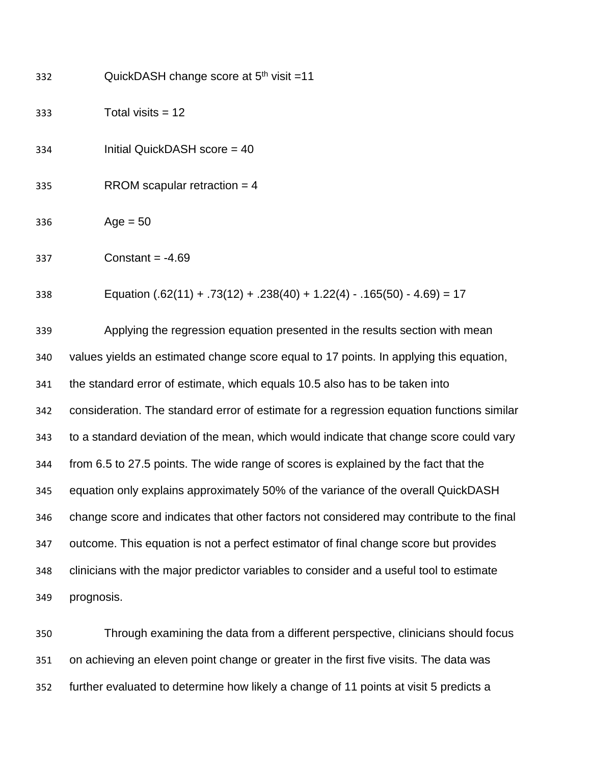| 332 | QuickDASH change score at $5th$ visit =11                                                 |
|-----|-------------------------------------------------------------------------------------------|
| 333 | Total visits $= 12$                                                                       |
| 334 | Initial QuickDASH score = 40                                                              |
| 335 | RROM scapular retraction = $4$                                                            |
| 336 | $Age = 50$                                                                                |
| 337 | Constant = $-4.69$                                                                        |
| 338 | Equation $(.62(11) + .73(12) + .238(40) + 1.22(4) - .165(50) - 4.69) = 17$                |
| 339 | Applying the regression equation presented in the results section with mean               |
| 340 | values yields an estimated change score equal to 17 points. In applying this equation,    |
| 341 | the standard error of estimate, which equals 10.5 also has to be taken into               |
| 342 | consideration. The standard error of estimate for a regression equation functions similar |
| 343 | to a standard deviation of the mean, which would indicate that change score could vary    |
| 344 | from 6.5 to 27.5 points. The wide range of scores is explained by the fact that the       |
| 345 | equation only explains approximately 50% of the variance of the overall QuickDASH         |
| 346 | change score and indicates that other factors not considered may contribute to the final  |
| 347 | outcome. This equation is not a perfect estimator of final change score but provides      |
| 348 | clinicians with the major predictor variables to consider and a useful tool to estimate   |
| 349 | prognosis.                                                                                |

 Through examining the data from a different perspective, clinicians should focus on achieving an eleven point change or greater in the first five visits. The data was further evaluated to determine how likely a change of 11 points at visit 5 predicts a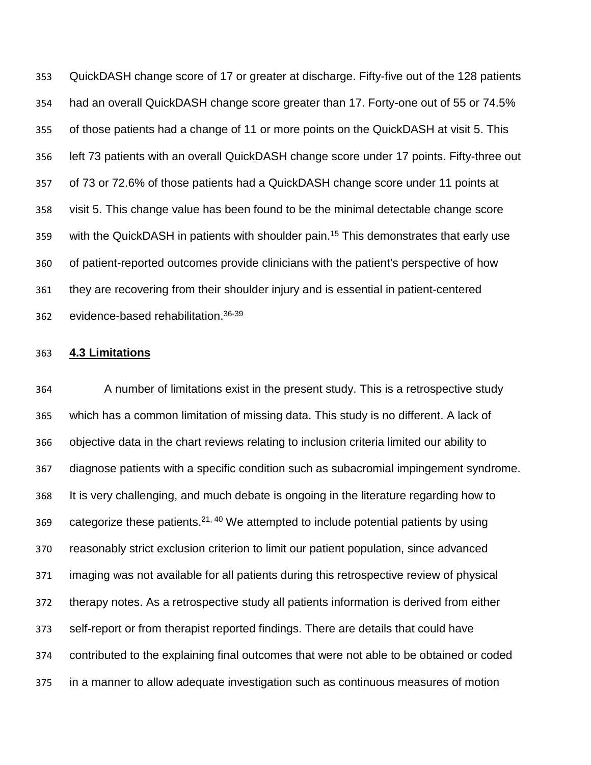QuickDASH change score of 17 or greater at discharge. Fifty-five out of the 128 patients had an overall QuickDASH change score greater than 17. Forty-one out of 55 or 74.5% of those patients had a change of 11 or more points on the QuickDASH at visit 5. This left 73 patients with an overall QuickDASH change score under 17 points. Fifty-three out of 73 or 72.6% of those patients had a QuickDASH change score under 11 points at visit 5. This change value has been found to be the minimal detectable change score 359 with the QuickDASH in patients with shoulder pain.<sup>15</sup> This demonstrates that early use of patient-reported outcomes provide clinicians with the patient's perspective of how they are recovering from their shoulder injury and is essential in patient-centered 362 evidence-based rehabilitation.<sup>36-39</sup>

#### **4.3 Limitations**

 A number of limitations exist in the present study. This is a retrospective study which has a common limitation of missing data. This study is no different. A lack of objective data in the chart reviews relating to inclusion criteria limited our ability to diagnose patients with a specific condition such as subacromial impingement syndrome. It is very challenging, and much debate is ongoing in the literature regarding how to 369 categorize these patients.<sup>21, 40</sup> We attempted to include potential patients by using reasonably strict exclusion criterion to limit our patient population, since advanced imaging was not available for all patients during this retrospective review of physical therapy notes. As a retrospective study all patients information is derived from either self-report or from therapist reported findings. There are details that could have contributed to the explaining final outcomes that were not able to be obtained or coded in a manner to allow adequate investigation such as continuous measures of motion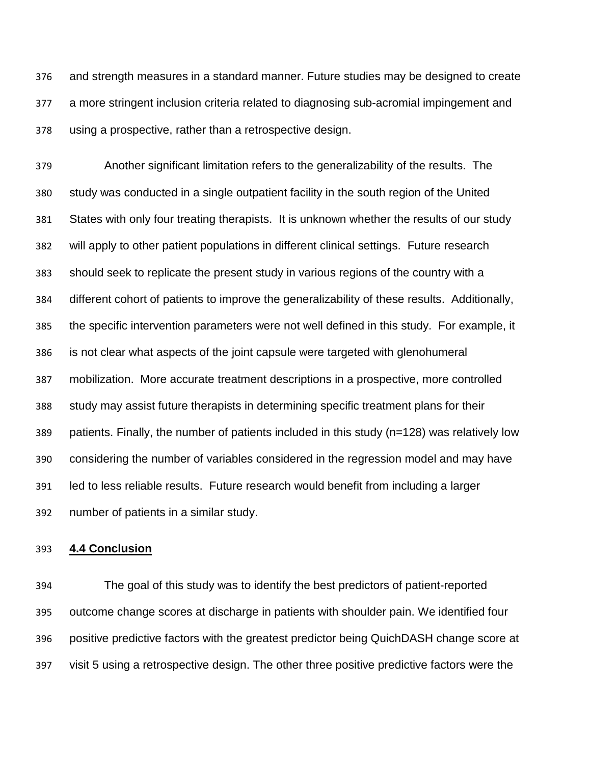and strength measures in a standard manner. Future studies may be designed to create a more stringent inclusion criteria related to diagnosing sub-acromial impingement and using a prospective, rather than a retrospective design.

 Another significant limitation refers to the generalizability of the results. The study was conducted in a single outpatient facility in the south region of the United States with only four treating therapists. It is unknown whether the results of our study will apply to other patient populations in different clinical settings. Future research should seek to replicate the present study in various regions of the country with a different cohort of patients to improve the generalizability of these results. Additionally, the specific intervention parameters were not well defined in this study. For example, it is not clear what aspects of the joint capsule were targeted with glenohumeral mobilization. More accurate treatment descriptions in a prospective, more controlled study may assist future therapists in determining specific treatment plans for their patients. Finally, the number of patients included in this study (n=128) was relatively low considering the number of variables considered in the regression model and may have led to less reliable results. Future research would benefit from including a larger number of patients in a similar study.

#### **4.4 Conclusion**

 The goal of this study was to identify the best predictors of patient-reported outcome change scores at discharge in patients with shoulder pain. We identified four positive predictive factors with the greatest predictor being QuichDASH change score at visit 5 using a retrospective design. The other three positive predictive factors were the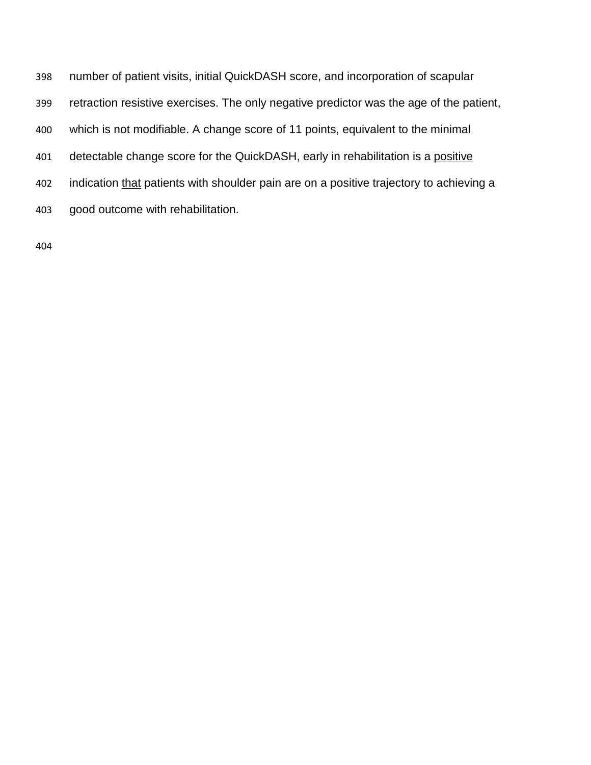number of patient visits, initial QuickDASH score, and incorporation of scapular retraction resistive exercises. The only negative predictor was the age of the patient, which is not modifiable. A change score of 11 points, equivalent to the minimal 401 detectable change score for the QuickDASH, early in rehabilitation is a positive 402 indication that patients with shoulder pain are on a positive trajectory to achieving a good outcome with rehabilitation.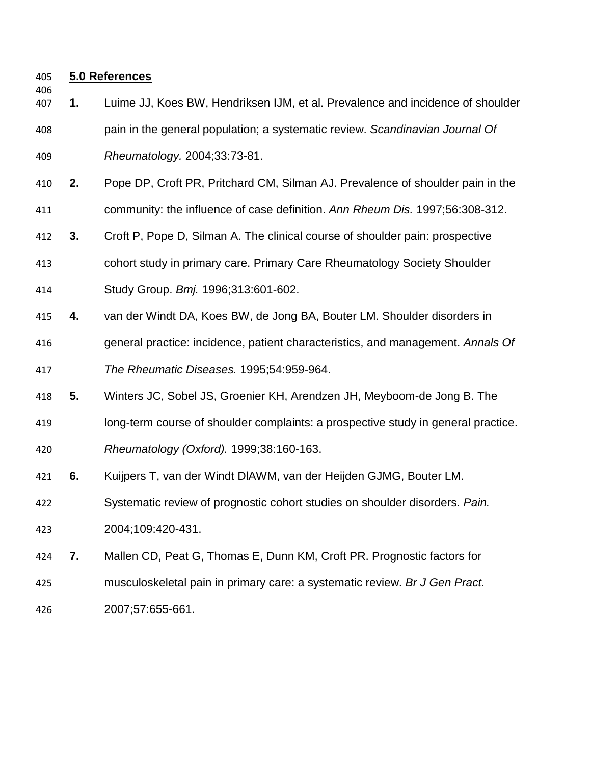## **5.0 References**

- **1.** Luime JJ, Koes BW, Hendriksen IJM, et al. Prevalence and incidence of shoulder pain in the general population; a systematic review. *Scandinavian Journal Of Rheumatology.* 2004;33:73-81.
- **2.** Pope DP, Croft PR, Pritchard CM, Silman AJ. Prevalence of shoulder pain in the community: the influence of case definition. *Ann Rheum Dis.* 1997;56:308-312.
- **3.** Croft P, Pope D, Silman A. The clinical course of shoulder pain: prospective cohort study in primary care. Primary Care Rheumatology Society Shoulder
- Study Group. *Bmj.* 1996;313:601-602.
- **4.** van der Windt DA, Koes BW, de Jong BA, Bouter LM. Shoulder disorders in
- general practice: incidence, patient characteristics, and management. *Annals Of The Rheumatic Diseases.* 1995;54:959-964.
- **5.** Winters JC, Sobel JS, Groenier KH, Arendzen JH, Meyboom-de Jong B. The
- long-term course of shoulder complaints: a prospective study in general practice.
- *Rheumatology (Oxford).* 1999;38:160-163.
- **6.** Kuijpers T, van der Windt DlAWM, van der Heijden GJMG, Bouter LM.
- Systematic review of prognostic cohort studies on shoulder disorders. *Pain.*
- 2004;109:420-431.
- **7.** Mallen CD, Peat G, Thomas E, Dunn KM, Croft PR. Prognostic factors for
- musculoskeletal pain in primary care: a systematic review. *Br J Gen Pract.*
- 2007;57:655-661.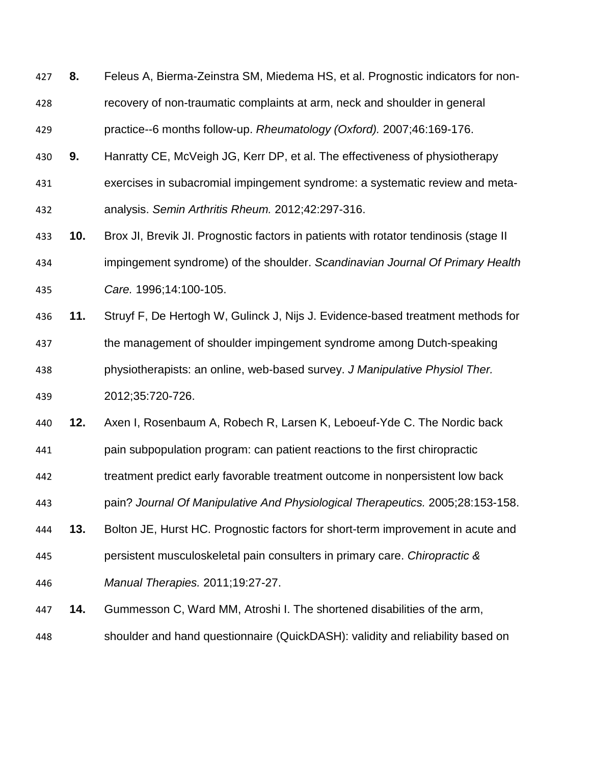**8.** Feleus A, Bierma-Zeinstra SM, Miedema HS, et al. Prognostic indicators for non- recovery of non-traumatic complaints at arm, neck and shoulder in general practice--6 months follow-up. *Rheumatology (Oxford).* 2007;46:169-176.

**9.** Hanratty CE, McVeigh JG, Kerr DP, et al. The effectiveness of physiotherapy

- exercises in subacromial impingement syndrome: a systematic review and meta-
- analysis. *Semin Arthritis Rheum.* 2012;42:297-316.
- **10.** Brox JI, Brevik JI. Prognostic factors in patients with rotator tendinosis (stage II impingement syndrome) of the shoulder. *Scandinavian Journal Of Primary Health Care.* 1996;14:100-105.
- **11.** Struyf F, De Hertogh W, Gulinck J, Nijs J. Evidence-based treatment methods for the management of shoulder impingement syndrome among Dutch-speaking physiotherapists: an online, web-based survey. *J Manipulative Physiol Ther.* 2012;35:720-726.

**12.** Axen I, Rosenbaum A, Robech R, Larsen K, Leboeuf-Yde C. The Nordic back

pain subpopulation program: can patient reactions to the first chiropractic

treatment predict early favorable treatment outcome in nonpersistent low back

pain? *Journal Of Manipulative And Physiological Therapeutics.* 2005;28:153-158.

 **13.** Bolton JE, Hurst HC. Prognostic factors for short-term improvement in acute and persistent musculoskeletal pain consulters in primary care. *Chiropractic &* 

*Manual Therapies.* 2011;19:27-27.

- **14.** Gummesson C, Ward MM, Atroshi I. The shortened disabilities of the arm,
- shoulder and hand questionnaire (QuickDASH): validity and reliability based on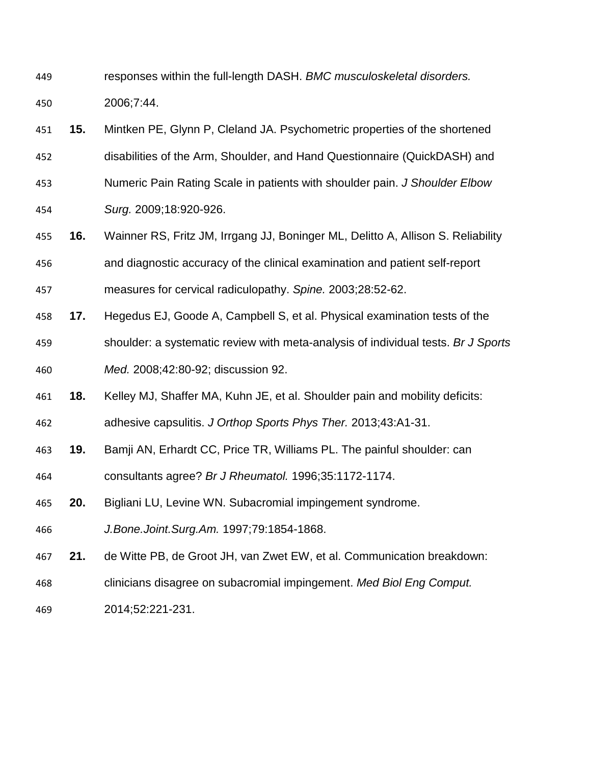- responses within the full-length DASH. *BMC musculoskeletal disorders.* 2006;7:44.
- **15.** Mintken PE, Glynn P, Cleland JA. Psychometric properties of the shortened
- disabilities of the Arm, Shoulder, and Hand Questionnaire (QuickDASH) and
- Numeric Pain Rating Scale in patients with shoulder pain. *J Shoulder Elbow*
- *Surg.* 2009;18:920-926.
- **16.** Wainner RS, Fritz JM, Irrgang JJ, Boninger ML, Delitto A, Allison S. Reliability and diagnostic accuracy of the clinical examination and patient self-report
- measures for cervical radiculopathy. *Spine.* 2003;28:52-62.
- **17.** Hegedus EJ, Goode A, Campbell S, et al. Physical examination tests of the shoulder: a systematic review with meta-analysis of individual tests. *Br J Sports Med.* 2008;42:80-92; discussion 92.
- **18.** Kelley MJ, Shaffer MA, Kuhn JE, et al. Shoulder pain and mobility deficits: adhesive capsulitis. *J Orthop Sports Phys Ther.* 2013;43:A1-31.
- **19.** Bamji AN, Erhardt CC, Price TR, Williams PL. The painful shoulder: can
- consultants agree? *Br J Rheumatol.* 1996;35:1172-1174.
- **20.** Bigliani LU, Levine WN. Subacromial impingement syndrome.
- *J.Bone.Joint.Surg.Am.* 1997;79:1854-1868.
- **21.** de Witte PB, de Groot JH, van Zwet EW, et al. Communication breakdown:
- clinicians disagree on subacromial impingement. *Med Biol Eng Comput.*
- 2014;52:221-231.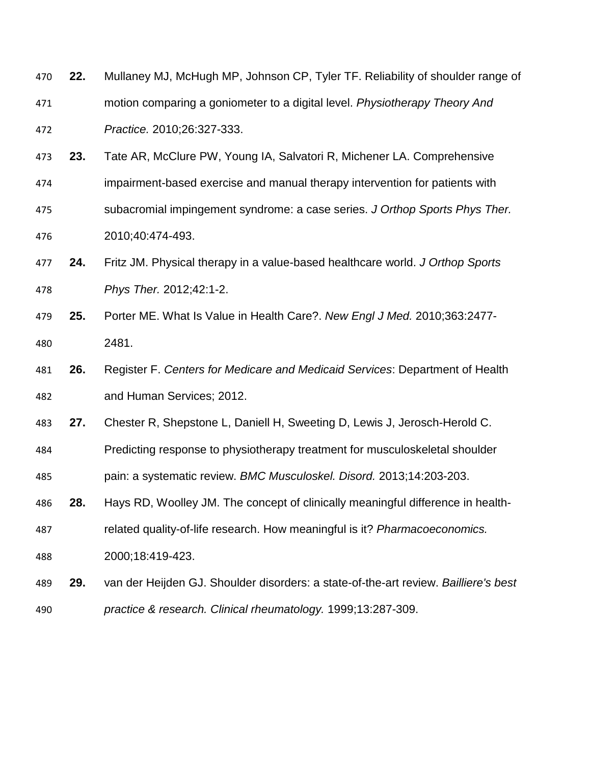| 470 | 22. | Mullaney MJ, McHugh MP, Johnson CP, Tyler TF. Reliability of shoulder range of      |
|-----|-----|-------------------------------------------------------------------------------------|
| 471 |     | motion comparing a goniometer to a digital level. Physiotherapy Theory And          |
| 472 |     | Practice. 2010;26:327-333.                                                          |
| 473 | 23. | Tate AR, McClure PW, Young IA, Salvatori R, Michener LA. Comprehensive              |
| 474 |     | impairment-based exercise and manual therapy intervention for patients with         |
| 475 |     | subacromial impingement syndrome: a case series. J Orthop Sports Phys Ther.         |
| 476 |     | 2010;40:474-493.                                                                    |
| 477 | 24. | Fritz JM. Physical therapy in a value-based healthcare world. J Orthop Sports       |
| 478 |     | Phys Ther. 2012;42:1-2.                                                             |
| 479 | 25. | Porter ME. What Is Value in Health Care?. New Engl J Med. 2010;363:2477-            |
| 480 |     | 2481.                                                                               |
| 481 | 26. | Register F. Centers for Medicare and Medicaid Services: Department of Health        |
| 482 |     | and Human Services; 2012.                                                           |
| 483 | 27. | Chester R, Shepstone L, Daniell H, Sweeting D, Lewis J, Jerosch-Herold C.           |
| 484 |     | Predicting response to physiotherapy treatment for musculoskeletal shoulder         |
| 485 |     | pain: a systematic review. BMC Musculoskel. Disord. 2013;14:203-203.                |
| 486 | 28. | Hays RD, Woolley JM. The concept of clinically meaningful difference in health-     |
| 487 |     | related quality-of-life research. How meaningful is it? Pharmacoeconomics.          |
| 488 |     | 2000;18:419-423.                                                                    |
| 489 | 29. | van der Heijden GJ. Shoulder disorders: a state-of-the-art review. Bailliere's best |
| 490 |     | practice & research. Clinical rheumatology. 1999;13:287-309.                        |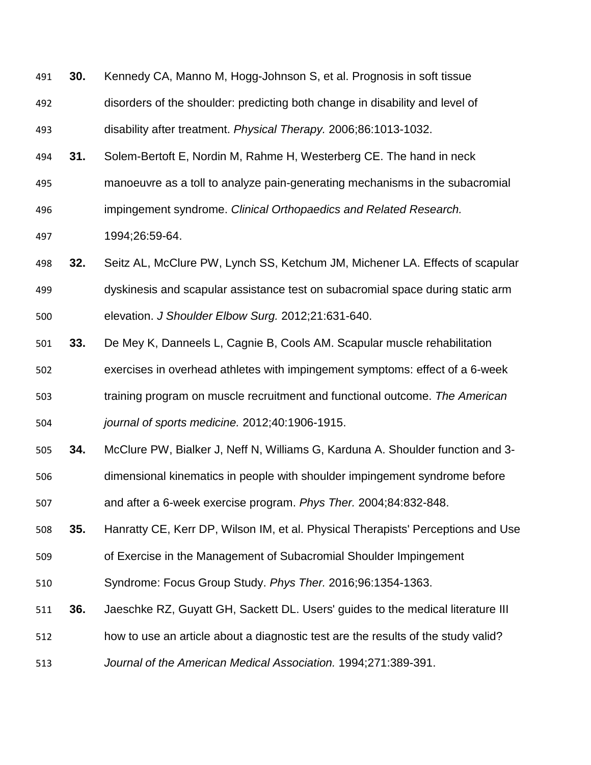- **30.** Kennedy CA, Manno M, Hogg-Johnson S, et al. Prognosis in soft tissue disorders of the shoulder: predicting both change in disability and level of disability after treatment. *Physical Therapy.* 2006;86:1013-1032.
- **31.** Solem-Bertoft E, Nordin M, Rahme H, Westerberg CE. The hand in neck
- manoeuvre as a toll to analyze pain-generating mechanisms in the subacromial
- impingement syndrome. *Clinical Orthopaedics and Related Research.*

1994;26:59-64.

- **32.** Seitz AL, McClure PW, Lynch SS, Ketchum JM, Michener LA. Effects of scapular
- dyskinesis and scapular assistance test on subacromial space during static arm elevation. *J Shoulder Elbow Surg.* 2012;21:631-640.
- **33.** De Mey K, Danneels L, Cagnie B, Cools AM. Scapular muscle rehabilitation exercises in overhead athletes with impingement symptoms: effect of a 6-week training program on muscle recruitment and functional outcome. *The American journal of sports medicine.* 2012;40:1906-1915.
- **34.** McClure PW, Bialker J, Neff N, Williams G, Karduna A. Shoulder function and 3-
- dimensional kinematics in people with shoulder impingement syndrome before
- and after a 6-week exercise program. *Phys Ther.* 2004;84:832-848.
- **35.** Hanratty CE, Kerr DP, Wilson IM, et al. Physical Therapists' Perceptions and Use
- of Exercise in the Management of Subacromial Shoulder Impingement
- Syndrome: Focus Group Study. *Phys Ther.* 2016;96:1354-1363.
- **36.** Jaeschke RZ, Guyatt GH, Sackett DL. Users' guides to the medical literature III
- how to use an article about a diagnostic test are the results of the study valid?
- *Journal of the American Medical Association.* 1994;271:389-391.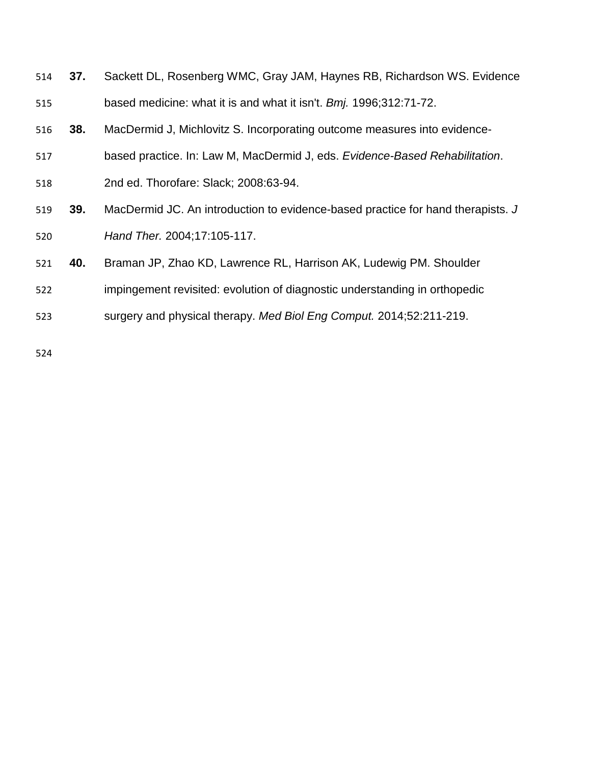|     | 514 <b>37.</b> | Sackett DL, Rosenberg WMC, Gray JAM, Haynes RB, Richardson WS. Evidence |
|-----|----------------|-------------------------------------------------------------------------|
| 515 |                | based medicine: what it is and what it isn't. Bmj. 1996;312:71-72.      |

- **38.** MacDermid J, Michlovitz S. Incorporating outcome measures into evidence-
- based practice. In: Law M, MacDermid J, eds. *Evidence-Based Rehabilitation*.
- 2nd ed. Thorofare: Slack; 2008:63-94.
- **39.** MacDermid JC. An introduction to evidence-based practice for hand therapists. *J Hand Ther.* 2004;17:105-117.
- **40.** Braman JP, Zhao KD, Lawrence RL, Harrison AK, Ludewig PM. Shoulder
- impingement revisited: evolution of diagnostic understanding in orthopedic
- surgery and physical therapy. *Med Biol Eng Comput.* 2014;52:211-219.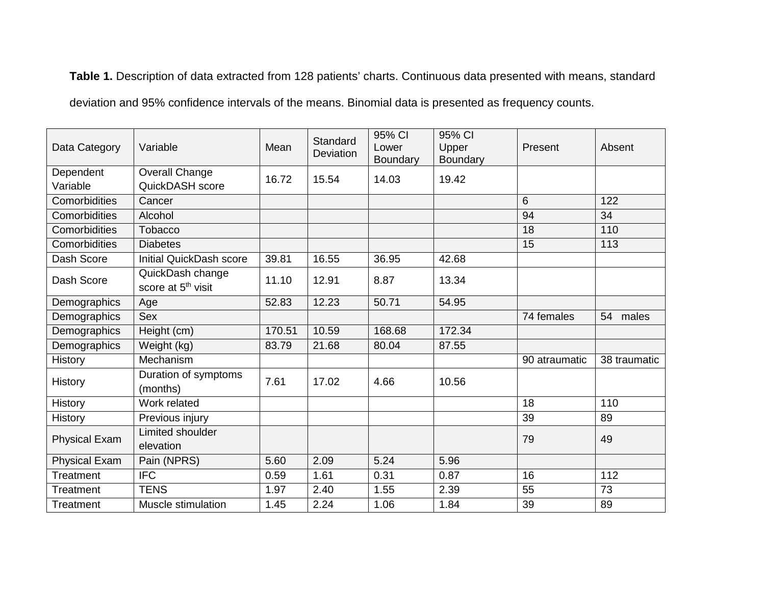**Table 1.** Description of data extracted from 128 patients' charts. Continuous data presented with means, standard deviation and 95% confidence intervals of the means. Binomial data is presented as frequency counts.

| Data Category         | Variable                                           | Mean   | Standard<br><b>Deviation</b> | 95% CI<br>Lower<br>Boundary | 95% CI<br>Upper<br><b>Boundary</b> | Present       | Absent       |
|-----------------------|----------------------------------------------------|--------|------------------------------|-----------------------------|------------------------------------|---------------|--------------|
| Dependent<br>Variable | Overall Change<br>QuickDASH score                  | 16.72  | 15.54                        | 14.03                       | 19.42                              |               |              |
| Comorbidities         | Cancer                                             |        |                              |                             |                                    | 6             | 122          |
| Comorbidities         | Alcohol                                            |        |                              |                             |                                    | 94            | 34           |
| Comorbidities         | Tobacco                                            |        |                              |                             |                                    | 18            | 110          |
| Comorbidities         | <b>Diabetes</b>                                    |        |                              |                             |                                    | 15            | 113          |
| Dash Score            | <b>Initial QuickDash score</b>                     | 39.81  | 16.55                        | 36.95                       | 42.68                              |               |              |
| Dash Score            | QuickDash change<br>score at 5 <sup>th</sup> visit | 11.10  | 12.91                        | 8.87                        | 13.34                              |               |              |
| Demographics          | Age                                                | 52.83  | 12.23                        | 50.71                       | 54.95                              |               |              |
| Demographics          | Sex                                                |        |                              |                             |                                    | 74 females    | 54 males     |
| Demographics          | Height (cm)                                        | 170.51 | 10.59                        | 168.68                      | 172.34                             |               |              |
| Demographics          | Weight (kg)                                        | 83.79  | 21.68                        | 80.04                       | 87.55                              |               |              |
| <b>History</b>        | Mechanism                                          |        |                              |                             |                                    | 90 atraumatic | 38 traumatic |
| History               | Duration of symptoms<br>(months)                   | 7.61   | 17.02                        | 4.66                        | 10.56                              |               |              |
| History               | Work related                                       |        |                              |                             |                                    | 18            | 110          |
| <b>History</b>        | Previous injury                                    |        |                              |                             |                                    | 39            | 89           |
| <b>Physical Exam</b>  | Limited shoulder<br>elevation                      |        |                              |                             |                                    | 79            | 49           |
| <b>Physical Exam</b>  | Pain (NPRS)                                        | 5.60   | 2.09                         | 5.24                        | 5.96                               |               |              |
| Treatment             | <b>IFC</b>                                         | 0.59   | 1.61                         | 0.31                        | 0.87                               | 16            | 112          |
| Treatment             | <b>TENS</b>                                        | 1.97   | 2.40                         | 1.55                        | 2.39                               | 55            | 73           |
| Treatment             | Muscle stimulation                                 | 1.45   | 2.24                         | 1.06                        | 1.84                               | 39            | 89           |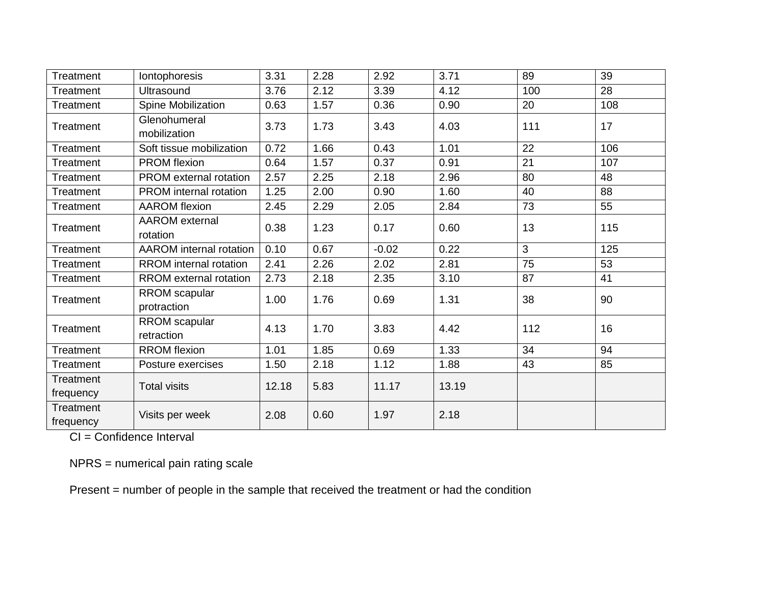| <b>Treatment</b>                                 | Iontophoresis                     | 3.31  | 2.28 | 2.92    | 3.71  | 89  | 39  |
|--------------------------------------------------|-----------------------------------|-------|------|---------|-------|-----|-----|
| <b>Treatment</b>                                 | <b>Ultrasound</b>                 | 3.76  | 2.12 | 3.39    | 4.12  | 100 | 28  |
| Treatment                                        | Spine Mobilization<br>0.63        |       | 1.57 | 0.36    | 0.90  | 20  | 108 |
| Treatment                                        | Glenohumeral<br>mobilization      | 3.73  | 1.73 | 3.43    | 4.03  | 111 | 17  |
| Treatment                                        | Soft tissue mobilization          | 0.72  | 1.66 | 0.43    | 1.01  | 22  | 106 |
| <b>Treatment</b>                                 | PROM flexion                      | 0.64  | 1.57 | 0.37    | 0.91  | 21  | 107 |
| <b>Treatment</b>                                 | <b>PROM</b> external rotation     | 2.57  | 2.25 | 2.18    | 2.96  | 80  | 48  |
| <b>Treatment</b>                                 | <b>PROM</b> internal rotation     | 1.25  | 2.00 | 0.90    | 1.60  | 40  | 88  |
| Treatment                                        | <b>AAROM</b> flexion              | 2.45  | 2.29 | 2.05    | 2.84  | 73  | 55  |
| Treatment                                        | <b>AAROM</b> external<br>rotation | 0.38  | 1.23 | 0.17    | 0.60  | 13  | 115 |
| <b>Treatment</b>                                 | <b>AAROM</b> internal rotation    | 0.10  | 0.67 | $-0.02$ | 0.22  | 3   | 125 |
| Treatment                                        | RROM internal rotation            | 2.41  | 2.26 | 2.02    | 2.81  | 75  | 53  |
| Treatment                                        | <b>RROM</b> external rotation     | 2.73  | 2.18 | 2.35    | 3.10  | 87  | 41  |
| <b>Treatment</b>                                 | RROM scapular<br>protraction      | 1.00  | 1.76 | 0.69    | 1.31  | 38  | 90  |
| Treatment                                        | RROM scapular<br>retraction       | 4.13  | 1.70 | 3.83    | 4.42  | 112 | 16  |
| <b>Treatment</b>                                 | <b>RROM</b> flexion               | 1.01  | 1.85 | 0.69    | 1.33  | 34  | 94  |
| Treatment                                        | Posture exercises                 | 1.50  | 2.18 | 1.12    | 1.88  | 43  | 85  |
| Treatment                                        | <b>Total visits</b>               | 12.18 | 5.83 | 11.17   | 13.19 |     |     |
| frequency                                        |                                   |       |      |         |       |     |     |
| <b>Treatment</b><br>Visits per week<br>frequency |                                   | 2.08  | 0.60 | 1.97    | 2.18  |     |     |

CI = Confidence Interval

NPRS = numerical pain rating scale

Present = number of people in the sample that received the treatment or had the condition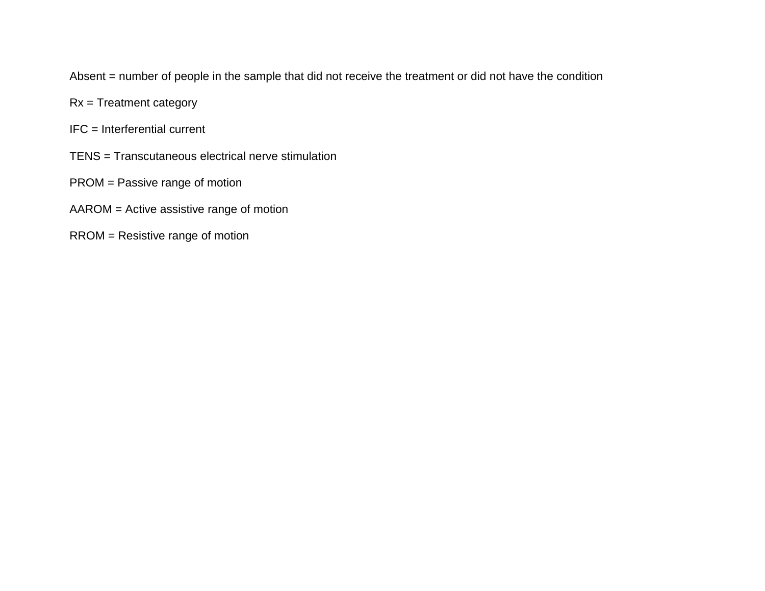Absent = number of people in the sample that did not receive the treatment or did not have the condition

- Rx = Treatment category
- IFC = Interferential current
- TENS = Transcutaneous electrical nerve stimulation
- PROM = Passive range of motion
- AAROM = Active assistive range of motion
- RROM = Resistive range of motion